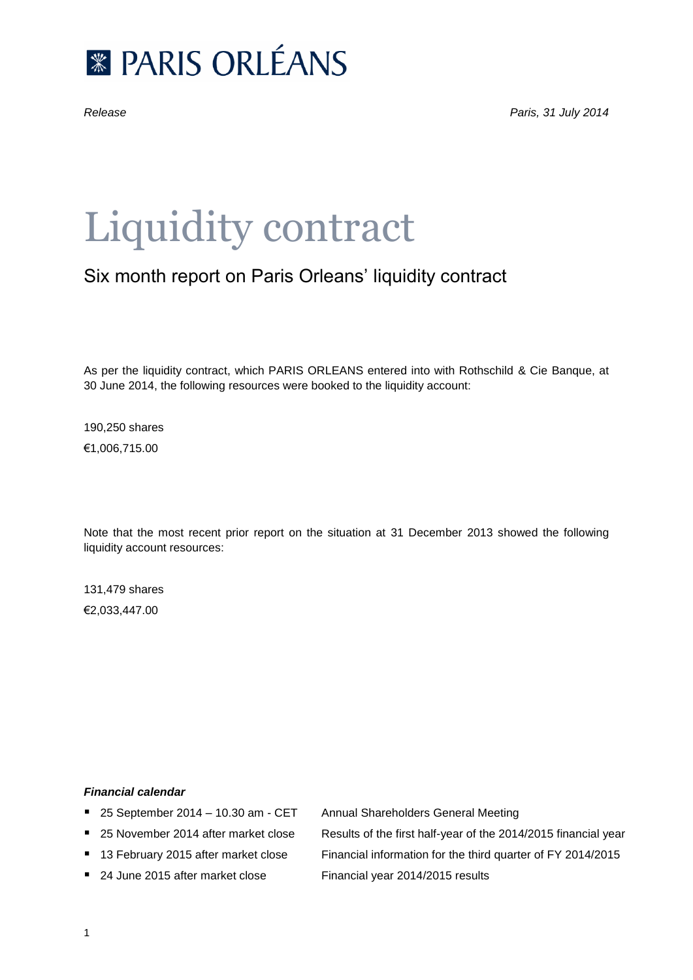

# Liquidity contract

## Six month report on Paris Orleans' liquidity contract

As per the liquidity contract, which PARIS ORLEANS entered into with Rothschild & Cie Banque, at 30 June 2014, the following resources were booked to the liquidity account:

190,250 shares €1,006,715.00

Note that the most recent prior report on the situation at 31 December 2013 showed the following liquidity account resources:

131,479 shares €2,033,447.00

### *Financial calendar*

- 25 September 2014 10.30 am CET Annual Shareholders General Meeting
- 
- 
- 24 June 2015 after market close Financial year 2014/2015 results

■ 25 November 2014 after market close Results of the first half-year of the 2014/2015 financial year ■ 13 February 2015 after market close Financial information for the third quarter of FY 2014/2015